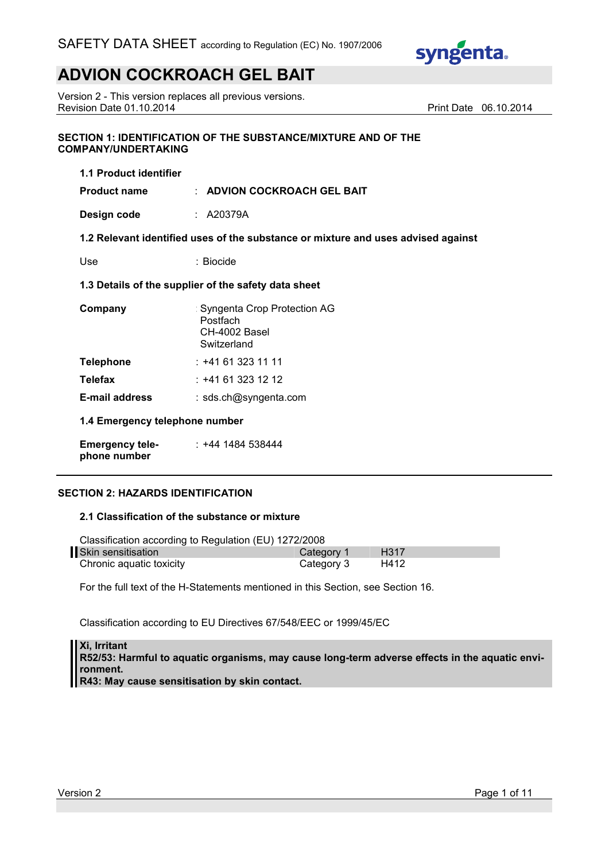

Version 2 - This version replaces all previous versions. Revision Date 01.10.2014 **Print Date 06.10.2014** Print Date 06.10.2014

## **SECTION 1: IDENTIFICATION OF THE SUBSTANCE/MIXTURE AND OF THE COMPANY/UNDERTAKING**

| 1.1 Product identifier                               |                                                                                   |  |
|------------------------------------------------------|-----------------------------------------------------------------------------------|--|
| <b>Product name</b>                                  | $\pm$ ADVION COCKROACH GEL BAIT                                                   |  |
| Design code                                          | : A20379A                                                                         |  |
|                                                      | 1.2 Relevant identified uses of the substance or mixture and uses advised against |  |
| Use                                                  | : Biocide                                                                         |  |
| 1.3 Details of the supplier of the safety data sheet |                                                                                   |  |
| Company                                              | : Syngenta Crop Protection AG<br>Postfach<br>CH-4002 Basel<br>Switzerland         |  |
| <b>Telephone</b>                                     | :+41 61 323 11 11                                                                 |  |
| <b>Telefax</b>                                       | : +41 61 323 12 12                                                                |  |
| <b>E-mail address</b>                                | : sds.ch@syngenta.com                                                             |  |
| 1.4 Emergency telephone number                       |                                                                                   |  |

**Emergency telephone number** : +44 1484 538444

# **SECTION 2: HAZARDS IDENTIFICATION**

### **2.1 Classification of the substance or mixture**

| Classification according to Regulation (EU) 1272/2008 |            |                  |
|-------------------------------------------------------|------------|------------------|
| Skin sensitisation                                    | Category 1 | H <sub>317</sub> |
| Chronic aquatic toxicity                              | Category 3 | H412             |

For the full text of the H-Statements mentioned in this Section, see Section 16.

Classification according to EU Directives 67/548/EEC or 1999/45/EC

**Xi, Irritant R52/53: Harmful to aquatic organisms, may cause long-term adverse effects in the aquatic environment. R43: May cause sensitisation by skin contact.**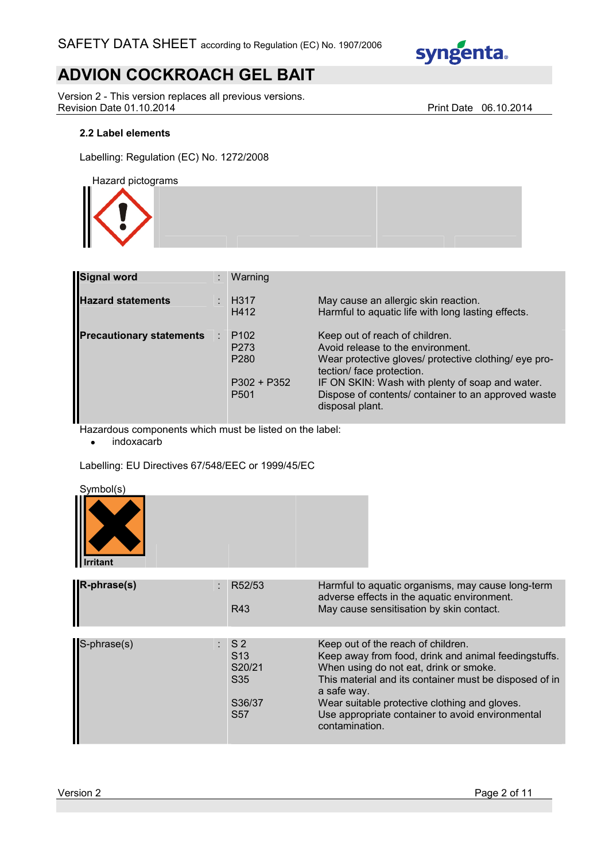

Version 2 - This version replaces all previous versions. Revision Date 01.10.2014 **Print Date 06.10.2014** 

# **2.2 Label elements**

Labelling: Regulation (EC) No. 1272/2008

Hazard pictograms



| <b>Signal word</b>              | ÷ | Warning                                                                                       |                                                                                                                                                                                                                                                                                        |
|---------------------------------|---|-----------------------------------------------------------------------------------------------|----------------------------------------------------------------------------------------------------------------------------------------------------------------------------------------------------------------------------------------------------------------------------------------|
| <b>Hazard statements</b>        |   | <b>H317</b><br>H412                                                                           | May cause an allergic skin reaction.<br>Harmful to aquatic life with long lasting effects.                                                                                                                                                                                             |
| <b>Precautionary statements</b> |   | P <sub>102</sub><br>P <sub>273</sub><br>P <sub>280</sub><br>$P302 + P352$<br>P <sub>501</sub> | Keep out of reach of children.<br>Avoid release to the environment.<br>Wear protective gloves/ protective clothing/ eye pro-<br>tection/ face protection.<br>IF ON SKIN: Wash with plenty of soap and water.<br>Dispose of contents/ container to an approved waste<br>disposal plant. |

Hazardous components which must be listed on the label:

• indoxacarb

Labelling: EU Directives 67/548/EEC or 1999/45/EC

Symbol(s)

| $\sim$ ,,,, $\sim$ ,,,,,,, |  |  |
|----------------------------|--|--|
|                            |  |  |
|                            |  |  |
| <b>Irritant</b>            |  |  |

| R-phrase(s) | R52/53<br>R43                                                                       | Harmful to aquatic organisms, may cause long-term<br>adverse effects in the aquatic environment.<br>May cause sensitisation by skin contact.                                                                                                                                                                                         |
|-------------|-------------------------------------------------------------------------------------|--------------------------------------------------------------------------------------------------------------------------------------------------------------------------------------------------------------------------------------------------------------------------------------------------------------------------------------|
|             |                                                                                     |                                                                                                                                                                                                                                                                                                                                      |
| S-phrase(s) | $:$ S2<br>S <sub>13</sub><br>S20/21<br>S <sub>35</sub><br>S36/37<br>S <sub>57</sub> | Keep out of the reach of children.<br>Keep away from food, drink and animal feedingstuffs.<br>When using do not eat, drink or smoke.<br>This material and its container must be disposed of in<br>a safe way.<br>Wear suitable protective clothing and gloves.<br>Use appropriate container to avoid environmental<br>contamination. |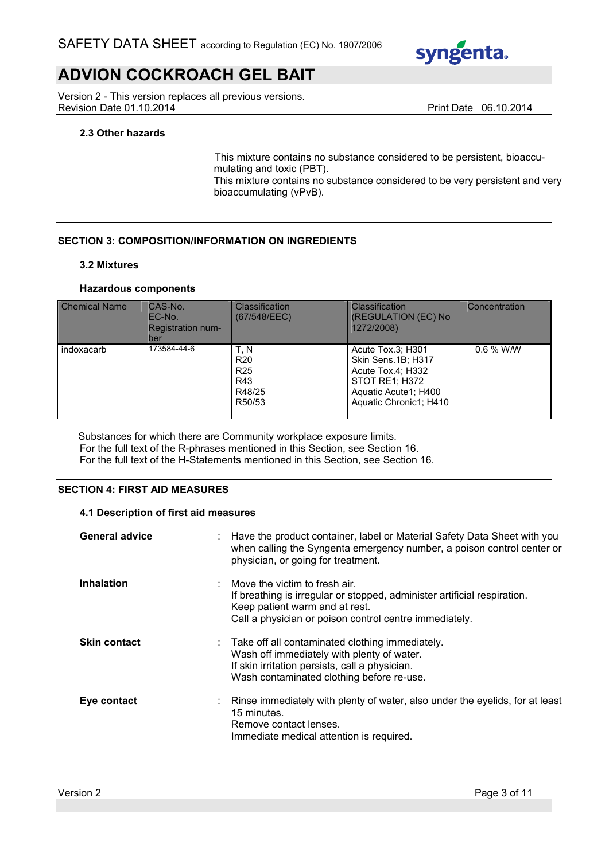

Version 2 - This version replaces all previous versions. Revision Date 01.10.2014 **Print Date 06.10.2014** Print Date 06.10.2014

# **2.3 Other hazards**

This mixture contains no substance considered to be persistent, bioaccumulating and toxic (PBT).

This mixture contains no substance considered to be very persistent and very bioaccumulating (vPvB).

# **SECTION 3: COMPOSITION/INFORMATION ON INGREDIENTS**

### **3.2 Mixtures**

## **Hazardous components**

| <b>Chemical Name</b> | CAS-No.<br>EC-No.<br><b>Registration num-</b><br>ber | <b>Classification</b><br>(67/548/EEC)                                 | <b>Classification</b><br>(REGULATION (EC) No<br>1272/2008)                                                                       | Concentration |
|----------------------|------------------------------------------------------|-----------------------------------------------------------------------|----------------------------------------------------------------------------------------------------------------------------------|---------------|
| indoxacarb           | 173584-44-6                                          | T.NN<br>R <sub>20</sub><br>R <sub>25</sub><br>R43<br>R48/25<br>R50/53 | Acute Tox.3; H301<br>Skin Sens.1B; H317<br>Acute Tox.4; H332<br>STOT RE1: H372<br>Aquatic Acute1; H400<br>Aquatic Chronic1; H410 | $0.6 %$ W/W   |

Substances for which there are Community workplace exposure limits. For the full text of the R-phrases mentioned in this Section, see Section 16. For the full text of the H-Statements mentioned in this Section, see Section 16.

# **SECTION 4: FIRST AID MEASURES**

### **4.1 Description of first aid measures**

| <b>General advice</b> | : Have the product container, label or Material Safety Data Sheet with you<br>when calling the Syngenta emergency number, a poison control center or<br>physician, or going for treatment.                         |
|-----------------------|--------------------------------------------------------------------------------------------------------------------------------------------------------------------------------------------------------------------|
| <b>Inhalation</b>     | $\therefore$ Move the victim to fresh air.<br>If breathing is irregular or stopped, administer artificial respiration.<br>Keep patient warm and at rest.<br>Call a physician or poison control centre immediately. |
| <b>Skin contact</b>   | : Take off all contaminated clothing immediately.<br>Wash off immediately with plenty of water.<br>If skin irritation persists, call a physician.<br>Wash contaminated clothing before re-use.                     |
| Eye contact           | : Rinse immediately with plenty of water, also under the eyelids, for at least<br>15 minutes.<br>Remove contact lenses.<br>Immediate medical attention is required.                                                |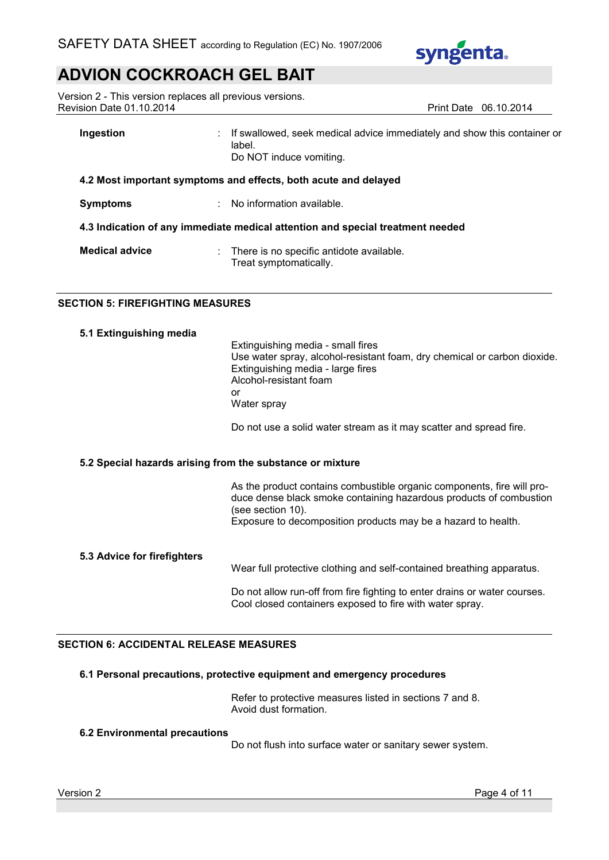

Version 2 - This version replaces all previous versions. Revision Date 01.10.2014 **Print Date 06.10.2014** Print Date 06.10.2014

| Ingestion             | If swallowed, seek medical advice immediately and show this container or<br>label.<br>Do NOT induce vomiting. |
|-----------------------|---------------------------------------------------------------------------------------------------------------|
|                       | 4.2 Most important symptoms and effects, both acute and delayed                                               |
| <b>Symptoms</b>       | : No information available.                                                                                   |
|                       | 4.3 Indication of any immediate medical attention and special treatment needed                                |
| <b>Medical advice</b> | : There is no specific antidote available.<br>Treat symptomatically.                                          |

# **SECTION 5: FIREFIGHTING MEASURES**

|  | 5.1 Extinguishing media |  |
|--|-------------------------|--|

Extinguishing media - small fires Use water spray, alcohol-resistant foam, dry chemical or carbon dioxide. Extinguishing media - large fires Alcohol-resistant foam or Water spray

Do not use a solid water stream as it may scatter and spread fire.

# **5.2 Special hazards arising from the substance or mixture**

As the product contains combustible organic components, fire will produce dense black smoke containing hazardous products of combustion (see section 10). Exposure to decomposition products may be a hazard to health.

### **5.3 Advice for firefighters**

Wear full protective clothing and self-contained breathing apparatus.

Do not allow run-off from fire fighting to enter drains or water courses. Cool closed containers exposed to fire with water spray.

## **SECTION 6: ACCIDENTAL RELEASE MEASURES**

### **6.1 Personal precautions, protective equipment and emergency procedures**

Refer to protective measures listed in sections 7 and 8. Avoid dust formation.

### **6.2 Environmental precautions**

Do not flush into surface water or sanitary sewer system.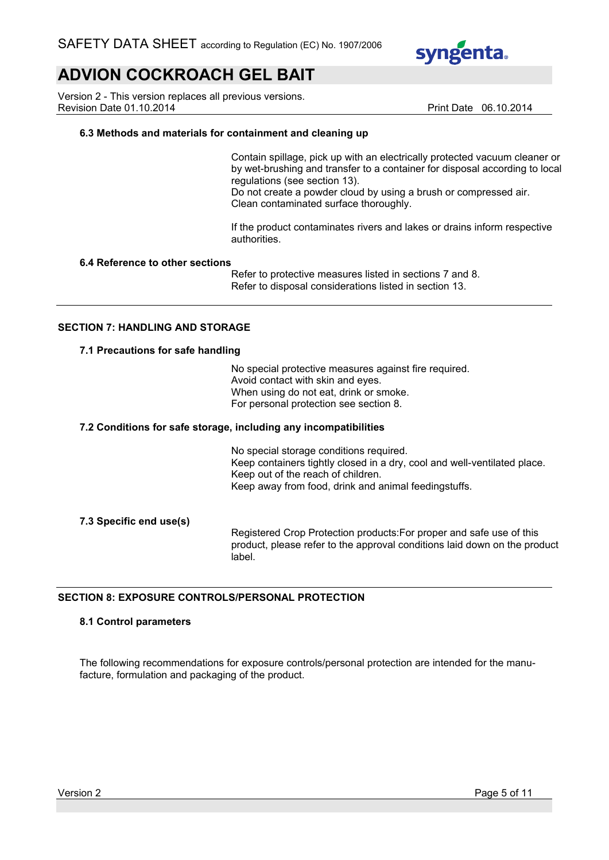

Version 2 - This version replaces all previous versions. Revision Date 01.10.2014 **Print Date 06.10.2014** Print Date 06.10.2014

## **6.3 Methods and materials for containment and cleaning up**

Contain spillage, pick up with an electrically protected vacuum cleaner or by wet-brushing and transfer to a container for disposal according to local regulations (see section 13).

Do not create a powder cloud by using a brush or compressed air. Clean contaminated surface thoroughly.

If the product contaminates rivers and lakes or drains inform respective authorities.

### **6.4 Reference to other sections**

Refer to protective measures listed in sections 7 and 8. Refer to disposal considerations listed in section 13.

### **SECTION 7: HANDLING AND STORAGE**

### **7.1 Precautions for safe handling**

No special protective measures against fire required. Avoid contact with skin and eyes. When using do not eat, drink or smoke. For personal protection see section 8.

#### **7.2 Conditions for safe storage, including any incompatibilities**

No special storage conditions required. Keep containers tightly closed in a dry, cool and well-ventilated place. Keep out of the reach of children. Keep away from food, drink and animal feedingstuffs.

### **7.3 Specific end use(s)**

Registered Crop Protection products:For proper and safe use of this product, please refer to the approval conditions laid down on the product label.

# **SECTION 8: EXPOSURE CONTROLS/PERSONAL PROTECTION**

#### **8.1 Control parameters**

The following recommendations for exposure controls/personal protection are intended for the manufacture, formulation and packaging of the product.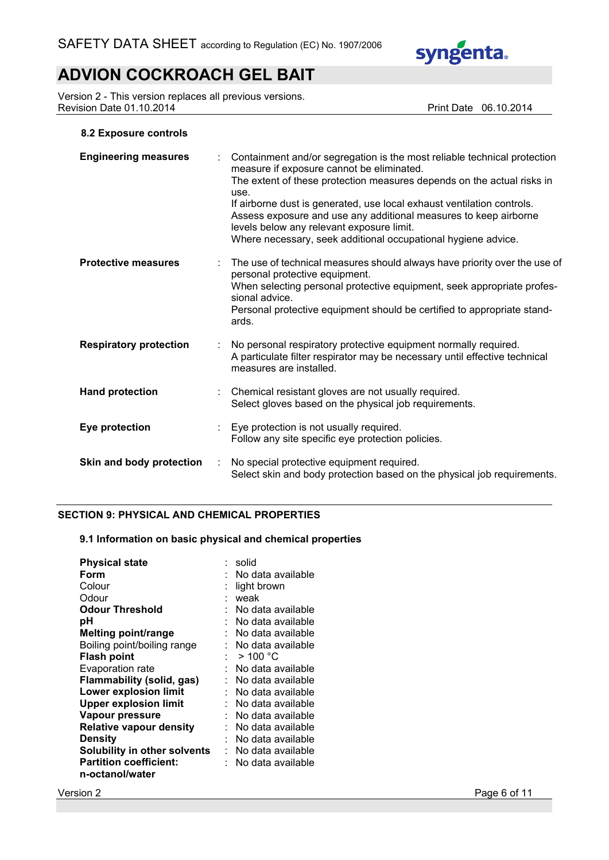

Version 2 - This version replaces all previous versions. Revision Date 01.10.2014 **Print Date 06.10.2014** 

## **8.2 Exposure controls**

| <b>Engineering measures</b>   |   | Containment and/or segregation is the most reliable technical protection<br>measure if exposure cannot be eliminated.<br>The extent of these protection measures depends on the actual risks in<br>use.<br>If airborne dust is generated, use local exhaust ventilation controls.<br>Assess exposure and use any additional measures to keep airborne<br>levels below any relevant exposure limit.<br>Where necessary, seek additional occupational hygiene advice. |
|-------------------------------|---|---------------------------------------------------------------------------------------------------------------------------------------------------------------------------------------------------------------------------------------------------------------------------------------------------------------------------------------------------------------------------------------------------------------------------------------------------------------------|
| <b>Protective measures</b>    |   | The use of technical measures should always have priority over the use of<br>personal protective equipment.<br>When selecting personal protective equipment, seek appropriate profes-<br>sional advice.<br>Personal protective equipment should be certified to appropriate stand-<br>ards.                                                                                                                                                                         |
| <b>Respiratory protection</b> |   | No personal respiratory protective equipment normally required.<br>A particulate filter respirator may be necessary until effective technical<br>measures are installed.                                                                                                                                                                                                                                                                                            |
| <b>Hand protection</b>        |   | Chemical resistant gloves are not usually required.<br>Select gloves based on the physical job requirements.                                                                                                                                                                                                                                                                                                                                                        |
| Eye protection                |   | Eye protection is not usually required.<br>Follow any site specific eye protection policies.                                                                                                                                                                                                                                                                                                                                                                        |
| Skin and body protection      | ÷ | No special protective equipment required.<br>Select skin and body protection based on the physical job requirements.                                                                                                                                                                                                                                                                                                                                                |

# **SECTION 9: PHYSICAL AND CHEMICAL PROPERTIES**

# **9.1 Information on basic physical and chemical properties**

| <b>Physical state</b>               | solid                 |
|-------------------------------------|-----------------------|
| Form                                | No data available     |
| Colour                              | light brown           |
| Odour                               | weak                  |
| <b>Odour Threshold</b>              | No data available     |
| рH                                  | No data available     |
| <b>Melting point/range</b>          | No data available     |
| Boiling point/boiling range         | :   No data available |
| <b>Flash point</b>                  | $>$ 100 °C            |
|                                     | No data available     |
| <b>Evaporation rate</b>             |                       |
| Flammability (solid, gas)           | No data available     |
| <b>Lower explosion limit</b>        | No data available     |
| <b>Upper explosion limit</b>        | No data available     |
| Vapour pressure                     | No data available     |
| <b>Relative vapour density</b>      | No data available     |
| Density                             | No data available     |
| <b>Solubility in other solvents</b> | No data available     |
| <b>Partition coefficient:</b>       | No data available     |
| n-octanol/water                     |                       |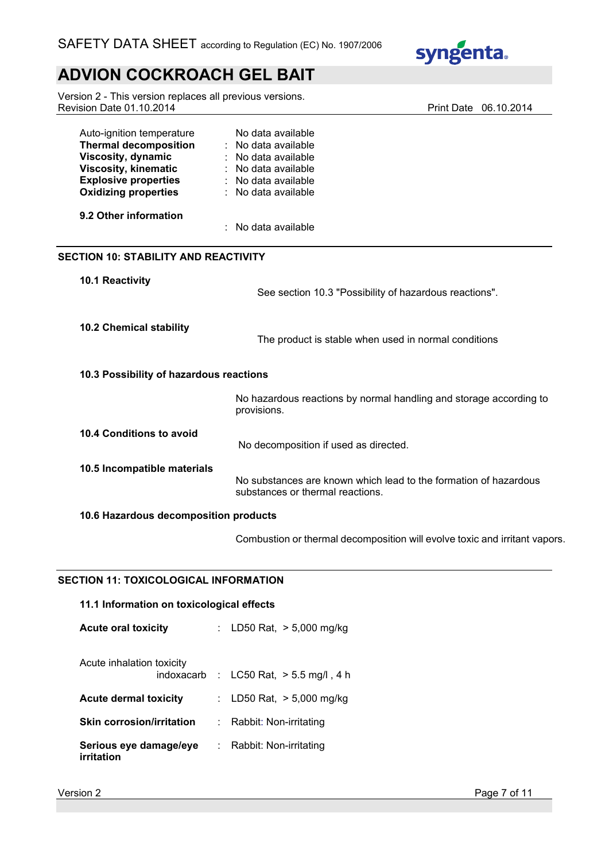

Version 2 - This version replaces all previous versions. Revision Date 01.10.2014 **Print Date 06.10.2014** 

| Auto-ignition temperature<br><b>Thermal decomposition</b><br>Viscosity, dynamic<br><b>Viscosity, kinematic</b><br><b>Explosive properties</b><br><b>Oxidizing properties</b> | No data available<br>: No data available<br>: No data available<br>: No data available<br>: No data available<br>: No data available |  |  |
|------------------------------------------------------------------------------------------------------------------------------------------------------------------------------|--------------------------------------------------------------------------------------------------------------------------------------|--|--|
| 9.2 Other information                                                                                                                                                        | : No data available                                                                                                                  |  |  |
| <b>SECTION 10: STABILITY AND REACTIVITY</b>                                                                                                                                  |                                                                                                                                      |  |  |
| 10.1 Reactivity                                                                                                                                                              | See section 10.3 "Possibility of hazardous reactions".                                                                               |  |  |
| <b>10.2 Chemical stability</b>                                                                                                                                               | The product is stable when used in normal conditions                                                                                 |  |  |
| 10.3 Possibility of hazardous reactions                                                                                                                                      |                                                                                                                                      |  |  |
|                                                                                                                                                                              | No hazardous reactions by normal handling and storage according to<br>provisions.                                                    |  |  |
| 10.4 Conditions to avoid                                                                                                                                                     | No decomposition if used as directed.                                                                                                |  |  |
| 10.5 Incompatible materials                                                                                                                                                  | No substances are known which lead to the formation of hazardous<br>substances or thermal reactions.                                 |  |  |
| 10.6 Hazardous decomposition products                                                                                                                                        |                                                                                                                                      |  |  |

Combustion or thermal decomposition will evolve toxic and irritant vapors.

# **SECTION 11: TOXICOLOGICAL INFORMATION**

# **11.1 Information on toxicological effects**

**Acute oral toxicity** : LD50 Rat, > 5,000 mg/kg

| Acute inhalation toxicity            |                                            |
|--------------------------------------|--------------------------------------------|
|                                      | indoxacarb : $LC50$ Rat, $> 5.5$ mg/l, 4 h |
| <b>Acute dermal toxicity</b>         | : LD50 Rat, $> 5,000$ mg/kg                |
| <b>Skin corrosion/irritation</b>     | : Rabbit: Non-irritating                   |
| Serious eye damage/eye<br>irritation | : Rabbit: Non-irritating                   |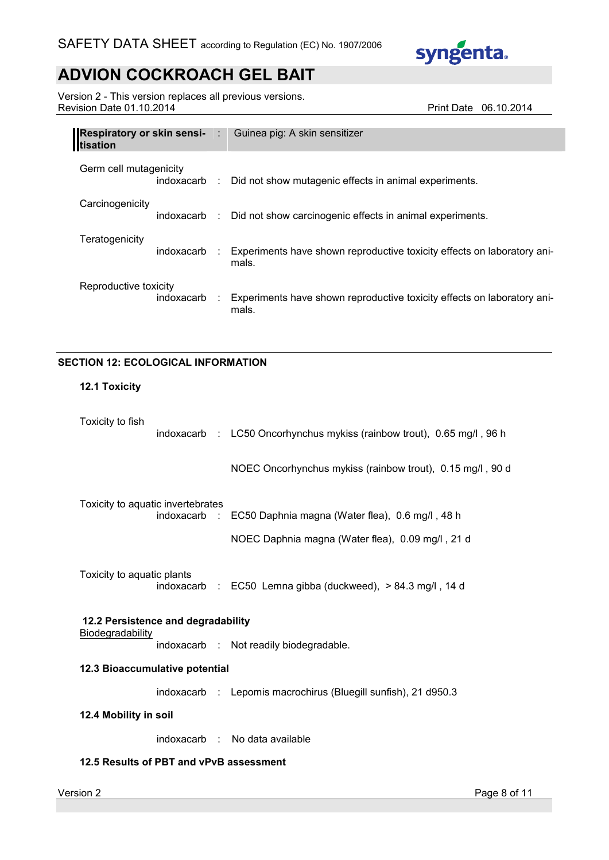

Version 2 - This version replaces all previous versions. Revision Date 01.10.2014 **Print Date 06.10.2014** 

| <b>Respiratory or skin sensi-</b> : Guinea pig: A skin sensitizer<br><b>I</b> tisation |                                                                                  |
|----------------------------------------------------------------------------------------|----------------------------------------------------------------------------------|
| Germ cell mutagenicity                                                                 | indoxacarb : Did not show mutagenic effects in animal experiments.               |
| Carcinogenicity                                                                        | indoxacarb : Did not show carcinogenic effects in animal experiments.            |
| Teratogenicity<br>indoxacarb :                                                         | Experiments have shown reproductive toxicity effects on laboratory ani-<br>mals. |
| Reproductive toxicity<br>indoxacarb :                                                  | Experiments have shown reproductive toxicity effects on laboratory ani-<br>mals. |

# **SECTION 12: ECOLOGICAL INFORMATION**

# **12.1 Toxicity**

| Toxicity to fish                   |              |  | indoxacarb : LC50 Oncorhynchus mykiss (rainbow trout), 0.65 mg/l, 96 h |  |
|------------------------------------|--------------|--|------------------------------------------------------------------------|--|
|                                    |              |  | NOEC Oncorhynchus mykiss (rainbow trout), 0.15 mg/l, 90 d              |  |
| Toxicity to aquatic invertebrates  | indoxacarb : |  | EC50 Daphnia magna (Water flea), 0.6 mg/l, 48 h                        |  |
|                                    |              |  | NOEC Daphnia magna (Water flea), 0.09 mg/l, 21 d                       |  |
| Toxicity to aquatic plants         |              |  | indoxacarb : EC50 Lemna gibba (duckweed), > 84.3 mg/l, 14 d            |  |
| 12.2 Persistence and degradability |              |  |                                                                        |  |
| Biodegradability                   |              |  | indoxacarb : Not readily biodegradable.                                |  |
| 12.3 Bioaccumulative potential     |              |  |                                                                        |  |
|                                    |              |  | indoxacarb : Lepomis macrochirus (Bluegill sunfish), 21 d950.3         |  |
| 12.4 Mobility in soil              |              |  |                                                                        |  |
|                                    |              |  | indoxacarb : No data available                                         |  |
|                                    |              |  |                                                                        |  |

# **12.5 Results of PBT and vPvB assessment**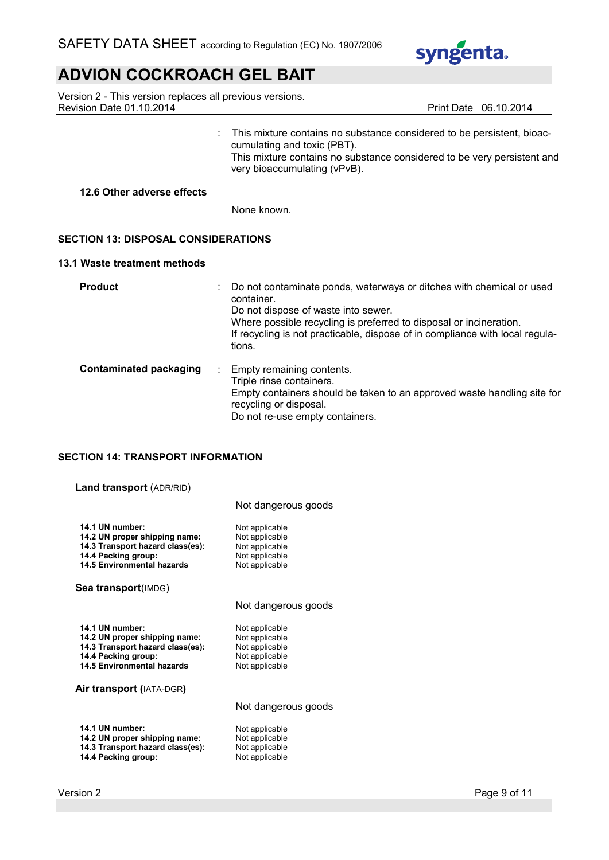

Version 2 - This version replaces all previous versions. Revision Date 01.10.2014 **Print Date 06.10.2014** Print Date 06.10.2014

: This mixture contains no substance considered to be persistent, bioaccumulating and toxic (PBT). This mixture contains no substance considered to be very persistent and very bioaccumulating (vPvB).

### **12.6 Other adverse effects**

None known.

## **SECTION 13: DISPOSAL CONSIDERATIONS**

### **13.1 Waste treatment methods**

| <b>Product</b>                |   | Do not contaminate ponds, waterways or ditches with chemical or used<br>container.<br>Do not dispose of waste into sewer.<br>Where possible recycling is preferred to disposal or incineration.<br>If recycling is not practicable, dispose of in compliance with local regula-<br>tions. |
|-------------------------------|---|-------------------------------------------------------------------------------------------------------------------------------------------------------------------------------------------------------------------------------------------------------------------------------------------|
| <b>Contaminated packaging</b> | ÷ | Empty remaining contents.<br>Triple rinse containers.<br>Empty containers should be taken to an approved waste handling site for<br>recycling or disposal.<br>Do not re-use empty containers.                                                                                             |

# **SECTION 14: TRANSPORT INFORMATION**

# **Land transport** (ADR/RID)

|                                                                                                                                           | Not dangerous goods                                                                    |
|-------------------------------------------------------------------------------------------------------------------------------------------|----------------------------------------------------------------------------------------|
| 14.1 UN number:<br>14.2 UN proper shipping name:<br>14.3 Transport hazard class(es):<br>14.4 Packing group:<br>14.5 Environmental hazards | Not applicable<br>Not applicable<br>Not applicable<br>Not applicable<br>Not applicable |
| Sea transport(IMDG)                                                                                                                       |                                                                                        |
|                                                                                                                                           | Not dangerous goods                                                                    |
| 14.1 UN number:<br>14.2 UN proper shipping name:<br>14.3 Transport hazard class(es):<br>14.4 Packing group:<br>14.5 Environmental hazards | Not applicable<br>Not applicable<br>Not applicable<br>Not applicable<br>Not applicable |
| <b>Air transport (IATA-DGR)</b>                                                                                                           |                                                                                        |

Not dangerous goods

**14.1 UN number:** Not applicable<br>**14.2 UN proper shipping name:** Not applicable **14.2 UN proper shipping name: 14.3 Transport hazard class(es):** Not applicable<br>**14.4 Packing group:** Not applicable **14.4 Packing group:**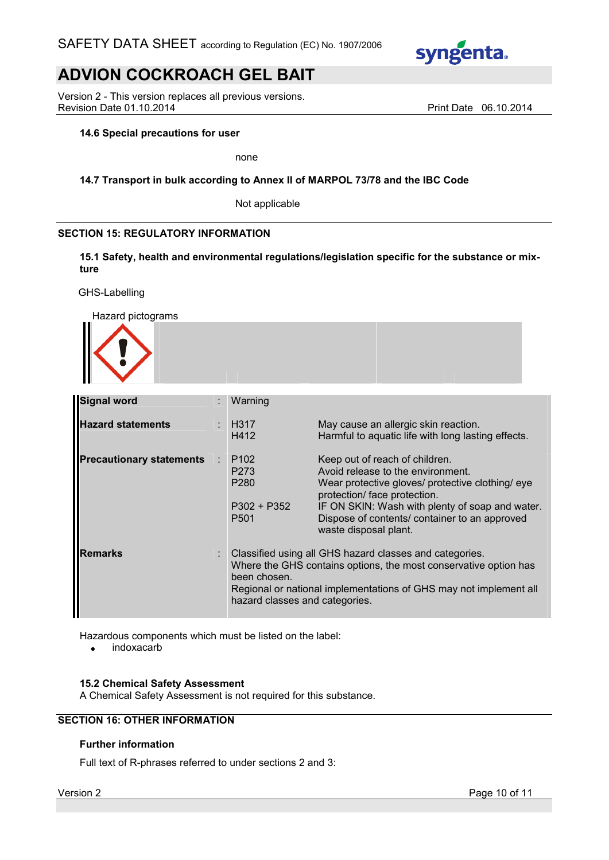

Version 2 - This version replaces all previous versions. Revision Date 01.10.2014 **Print Date 06.10.2014** Print Date 06.10.2014

### **14.6 Special precautions for user**

none

### **14.7 Transport in bulk according to Annex II of MARPOL 73/78 and the IBC Code**

Not applicable

## **SECTION 15: REGULATORY INFORMATION**

**15.1 Safety, health and environmental regulations/legislation specific for the substance or mixture**

GHS-Labelling

Hazard pictograms

| <b>HULUIU PIULUYIUIIIU</b><br>m n |  |
|-----------------------------------|--|
| .                                 |  |

| <b>Signal word</b>              |   | Warning                                                                                                                                                                                                                                              |                                                                                                                                                                                                                                                                                      |
|---------------------------------|---|------------------------------------------------------------------------------------------------------------------------------------------------------------------------------------------------------------------------------------------------------|--------------------------------------------------------------------------------------------------------------------------------------------------------------------------------------------------------------------------------------------------------------------------------------|
| <b>Hazard statements</b>        |   | $\therefore$ H317<br>H412                                                                                                                                                                                                                            | May cause an allergic skin reaction.<br>Harmful to aquatic life with long lasting effects.                                                                                                                                                                                           |
| <b>Precautionary statements</b> | ÷ | P <sub>102</sub><br>P <sub>273</sub><br>P <sub>280</sub><br>P302 + P352<br>P <sub>501</sub>                                                                                                                                                          | Keep out of reach of children.<br>Avoid release to the environment.<br>Wear protective gloves/ protective clothing/ eye<br>protection/ face protection.<br>IF ON SKIN: Wash with plenty of soap and water.<br>Dispose of contents/ container to an approved<br>waste disposal plant. |
| <b>Remarks</b>                  |   | : Classified using all GHS hazard classes and categories.<br>Where the GHS contains options, the most conservative option has<br>been chosen.<br>Regional or national implementations of GHS may not implement all<br>hazard classes and categories. |                                                                                                                                                                                                                                                                                      |

Hazardous components which must be listed on the label:

• indoxacarb

### **15.2 Chemical Safety Assessment**

A Chemical Safety Assessment is not required for this substance.

## **SECTION 16: OTHER INFORMATION**

## **Further information**

Full text of R-phrases referred to under sections 2 and 3: